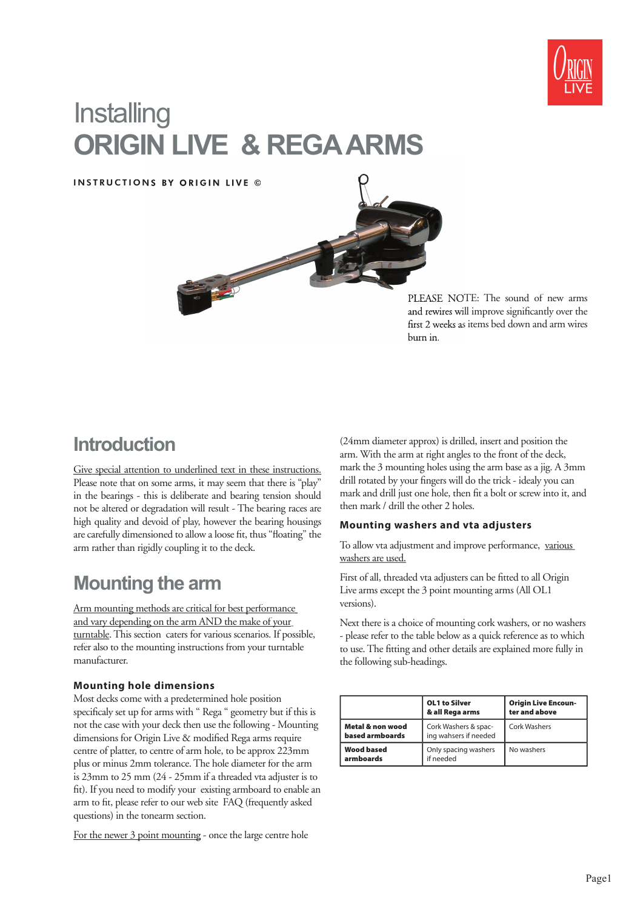

# **Installing ORIGIN LIVE & REGA ARMS**

INSTRUCTIONS BY ORIGIN LIVE ©



PLEASE NOTE: The sound of new arms and rewires will improve significantly over the first 2 weeks as items bed down and arm wires burn in.

## **Introduction**

Give special attention to underlined text in these instructions. Please note that on some arms, it may seem that there is "play" in the bearings - this is deliberate and bearing tension should not be altered or degradation will result - The bearing races are high quality and devoid of play, however the bearing housings are carefully dimensioned to allow a loose fit, thus "floating" the arm rather than rigidly coupling it to the deck.

## **Mounting the arm**

Arm mounting methods are critical for best performance and vary depending on the arm AND the make of your turntable. This section caters for various scenarios. If possible, refer also to the mounting instructions from your turntable manufacturer.

## **Mounting hole dimensions**

Most decks come with a predetermined hole position specificaly set up for arms with " Rega " geometry but if this is not the case with your deck then use the following - Mounting dimensions for Origin Live & modified Rega arms require centre of platter, to centre of arm hole, to be approx 223mm plus or minus 2mm tolerance. The hole diameter for the arm is 23mm to 25 mm (24 - 25mm if a threaded vta adjuster is to fit). If you need to modify your existing armboard to enable an arm to fit, please refer to our web site FAQ (frequently asked questions) in the tonearm section.

For the newer 3 point mounting - once the large centre hole

(24mm diameter approx) is drilled, insert and position the arm. With the arm at right angles to the front of the deck, mark the 3 mounting holes using the arm base as a jig. A 3mm drill rotated by your fingers will do the trick - idealy you can mark and drill just one hole, then fit a bolt or screw into it, and then mark / drill the other 2 holes.

## **Mounting washers and vta adjusters**

To allow vta adjustment and improve performance, various washers are used.

First of all, threaded vta adjusters can be fitted to all Origin Live arms except the 3 point mounting arms (All OL1 versions).

Next there is a choice of mounting cork washers, or no washers - please refer to the table below as a quick reference as to which to use. The fitting and other details are explained more fully in the following sub-headings.

|                                     | <b>OL1 to Silver</b><br>& all Rega arms       | <b>Origin Live Encoun-</b><br>ter and above |
|-------------------------------------|-----------------------------------------------|---------------------------------------------|
| Metal & non wood<br>based armboards | Cork Washers & spac-<br>ing wahsers if needed | Cork Washers                                |
| <b>Wood based</b><br>armboards      | Only spacing washers<br>if needed             | No washers                                  |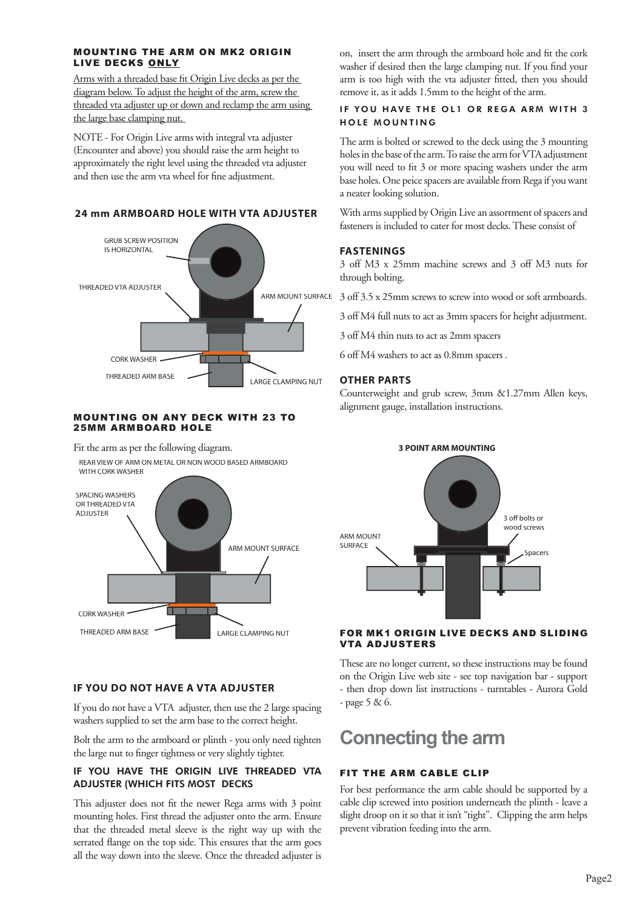### MOUNTING THE ARM ON MK2 ORIGIN LIVE DECKS ONLY

Arms with a threaded base fit Origin Live decks as per the diagram below. To adjust the height of the arm, screw the threaded vta adjuster up or down and reclamp the arm using the large base clamping nut.

NOTE - For Origin Live arms with integral vta adjuster (Encounter and above) you should raise the arm height to approximately the right level using the threaded vta adjuster and then use the arm vta wheel for fine adjustment.

## **24 mm ARMBOARD HOLE WITH VTA ADJUSTER**



#### MOUNTING ON ANY DECK WITH 23 TO 25MM ARMBOARD HOLE

Fit the arm as per the following diagram.

REAR VIEW OF ARM ON METAL OR NON WOOD BASED ARMBOARD WITH CORK WASHER



## **IF YOU DO NOT HAVE A VTA ADJUSTER**

If you do not have a VTA adjuster, then use the 2 large spacing washers supplied to set the arm base to the correct height.

Bolt the arm to the armboard or plinth - you only need tighten the large nut to finger tightness or very slightly tighter.

## IF YOU HAVE THE ORIGIN LIVE THREADED VTA ADJUSTER (WHICH FITS MOST DECKS

This adjuster does not fit the newer Rega arms with 3 point mounting holes. First thread the adjuster onto the arm. Ensure that the threaded metal sleeve is the right way up with the serrated flange on the top side. This ensures that the arm goes all the way down into the sleeve. Once the threaded adjuster is

on, insert the arm through the armboard hole and fit the cork washer if desired then the large clamping nut. If you find your arm is too high with the vta adjuster fitted, then you should remove it, as it adds 1.5mm to the height of the arm.

## IF YOU HAVE THE OL1 OR REGA ARM WITH 3 HOLE MOUNTING

The arm is bolted or screwed to the deck using the 3 mounting holes in the base of the arm. To raise the arm for VTA adjustment you will need to fit 3 or more spacing washers under the arm base holes. One peice spacers are available from Rega if you want a neater looking solution.

With arms supplied by Origin Live an assortment of spacers and fasteners is included to cater for most decks. These consist of

## **FASTENINGS**

3 off M3 x 25mm machine screws and 3 off M3 nuts for through bolting.

3 off 3.5 x 25mm screws to screw into wood or soft armboards.

3 off M4 full nuts to act as 3mm spacers for height adjustment.

3 off M4 thin nuts to act as 2mm spacers

6 off M4 washers to act as 0.8mm spacers .

## **OTHER PARTS**

Counterweight and grub screw, 3mm &1.27mm Allen keys, alignment gauge, installation instructions.



## FOR MK1 ORIGIN LIVE DECKS AND SLIDING VTA ADJUSTERS

These are no longer current, so these instructions may be found on the Origin Live web site - see top navigation bar - support - then drop down list instructions - turntables - Aurora Gold - page 5 & 6.

## **Connecting the arm**

## FIT THE ARM CABLE CLIP

For best performance the arm cable should be supported by a cable clip screwed into position underneath the plinth - leave a slight droop on it so that it isn't "tight". Clipping the arm helps prevent vibration feeding into the arm.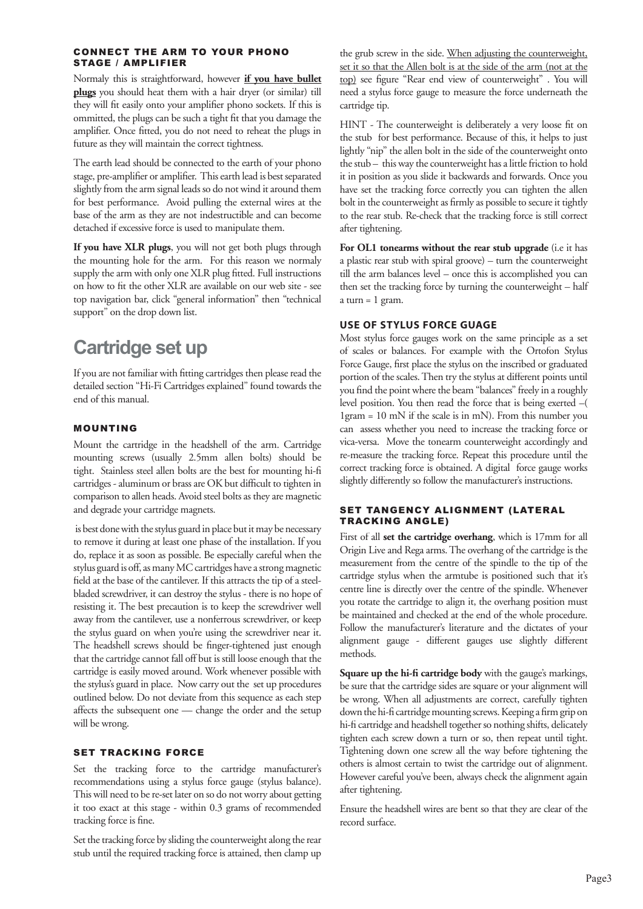#### CONNECT THE ARM TO YOUR PHONO STAGE / AMPLIFIER

Normaly this is straightforward, however **if you have bullet plugs** you should heat them with a hair dryer (or similar) till they will fit easily onto your amplifier phono sockets. If this is ommitted, the plugs can be such a tight fit that you damage the amplifier. Once fitted, you do not need to reheat the plugs in future as they will maintain the correct tightness.

The earth lead should be connected to the earth of your phono stage, pre-amplifier or amplifier. This earth lead is best separated slightly from the arm signal leads so do not wind it around them for best performance. Avoid pulling the external wires at the base of the arm as they are not indestructible and can become detached if excessive force is used to manipulate them.

**If you have XLR plugs**, you will not get both plugs through the mounting hole for the arm. For this reason we normaly supply the arm with only one XLR plug fitted. Full instructions on how to fit the other XLR are available on our web site - see top navigation bar, click "general information" then "technical support" on the drop down list.

## **Cartridge set up**

If you are not familiar with fitting cartridges then please read the detailed section "Hi-Fi Cartridges explained" found towards the end of this manual.

## MOUNTING

Mount the cartridge in the headshell of the arm. Cartridge mounting screws (usually 2.5mm allen bolts) should be tight. Stainless steel allen bolts are the best for mounting hi-fi cartridges - aluminum or brass are OK but difficult to tighten in comparison to allen heads. Avoid steel bolts as they are magnetic and degrade your cartridge magnets.

 is best done with the stylus guard in place but it may be necessary to remove it during at least one phase of the installation. If you do, replace it as soon as possible. Be especially careful when the stylus guard is off, as many MC cartridges have a strong magnetic field at the base of the cantilever. If this attracts the tip of a steelbladed screwdriver, it can destroy the stylus - there is no hope of resisting it. The best precaution is to keep the screwdriver well away from the cantilever, use a nonferrous screwdriver, or keep the stylus guard on when you're using the screwdriver near it. The headshell screws should be finger-tightened just enough that the cartridge cannot fall off but is still loose enough that the cartridge is easily moved around. Work whenever possible with the stylus's guard in place. Now carry out the set up procedures outlined below. Do not deviate from this sequence as each step affects the subsequent one — change the order and the setup will be wrong.

## SET TRACKING FORCE

Set the tracking force to the cartridge manufacturer's recommendations using a stylus force gauge (stylus balance). This will need to be re-set later on so do not worry about getting it too exact at this stage - within 0.3 grams of recommended tracking force is fine.

Set the tracking force by sliding the counterweight along the rear stub until the required tracking force is attained, then clamp up

the grub screw in the side. When adjusting the counterweight, set it so that the Allen bolt is at the side of the arm (not at the top) see figure "Rear end view of counterweight". You will need a stylus force gauge to measure the force underneath the cartridge tip.

HINT - The counterweight is deliberately a very loose fit on the stub for best performance. Because of this, it helps to just lightly "nip" the allen bolt in the side of the counterweight onto the stub – this way the counterweight has a little friction to hold it in position as you slide it backwards and forwards. Once you have set the tracking force correctly you can tighten the allen bolt in the counterweight as firmly as possible to secure it tightly to the rear stub. Re-check that the tracking force is still correct after tightening.

For OL1 tonearms without the rear stub upgrade (i.e it has a plastic rear stub with spiral groove) – turn the counterweight till the arm balances level – once this is accomplished you can then set the tracking force by turning the counterweight – half a turn  $= 1$  gram.

## **USE OF STYLUS FORCE GUAGE**

Most stylus force gauges work on the same principle as a set of scales or balances. For example with the Ortofon Stylus Force Gauge, first place the stylus on the inscribed or graduated portion of the scales. Then try the stylus at different points until you find the point where the beam "balances" freely in a roughly level position. You then read the force that is being exerted –( 1gram = 10 mN if the scale is in mN). From this number you can assess whether you need to increase the tracking force or vica-versa. Move the tonearm counterweight accordingly and re-measure the tracking force. Repeat this procedure until the correct tracking force is obtained. A digital force gauge works slightly differently so follow the manufacturer's instructions.

#### SET TANGENCY ALIGNMENT (LATERAL TRACKING ANGLE)

First of all **set the cartridge overhang**, which is 17mm for all Origin Live and Rega arms. The overhang of the cartridge is the measurement from the centre of the spindle to the tip of the cartridge stylus when the armtube is positioned such that it's centre line is directly over the centre of the spindle. Whenever you rotate the cartridge to align it, the overhang position must be maintained and checked at the end of the whole procedure. Follow the manufacturer's literature and the dictates of your alignment gauge - different gauges use slightly different methods.

Square up the hi-fi cartridge body with the gauge's markings, be sure that the cartridge sides are square or your alignment will be wrong. When all adjustments are correct, carefully tighten down the hi-fi cartridge mounting screws. Keeping a firm grip on hi-fi cartridge and headshell together so nothing shifts, delicately tighten each screw down a turn or so, then repeat until tight. Tightening down one screw all the way before tightening the others is almost certain to twist the cartridge out of alignment. However careful you've been, always check the alignment again after tightening.

Ensure the headshell wires are bent so that they are clear of the record surface.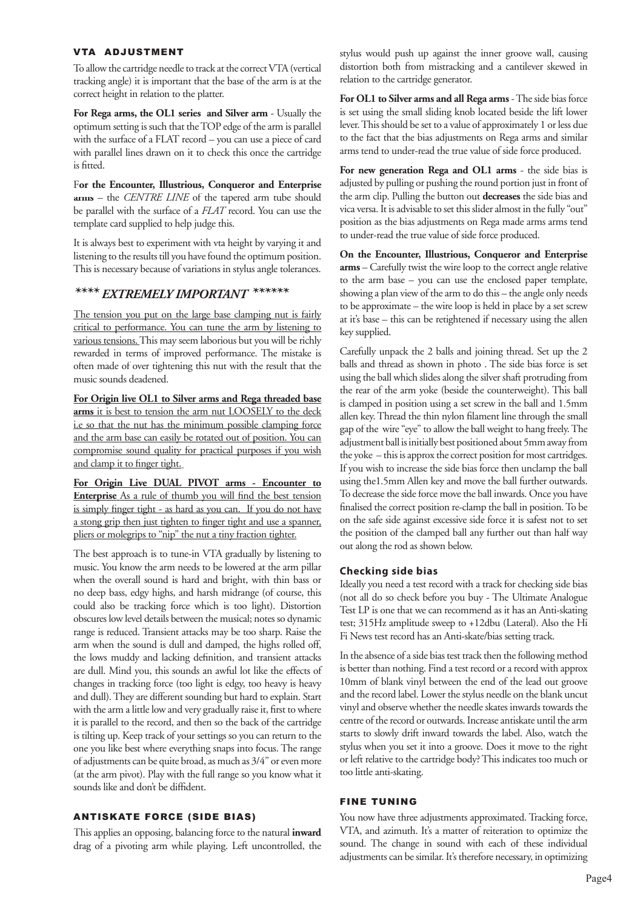#### VTA ADJUSTMENT

To allow the cartridge needle to track at the correct VTA (vertical tracking angle) it is important that the base of the arm is at the correct height in relation to the platter.

For Rega arms, the OL1 series and Silver arm - Usually the optimum setting is such that the TOP edge of the arm is parallel with the surface of a FLAT record – you can use a piece of card with parallel lines drawn on it to check this once the cartridge is fitted.

F**or the Encounter, Illustrious, Conqueror and Enterprise arms** – the *CENTRE LINE* of the tapered arm tube should be parallel with the surface of a *FLAT* record. You can use the template card supplied to help judge this.

It is always best to experiment with vta height by varying it and listening to the results till you have found the optimum position. This is necessary because of variations in stylus angle tolerances.

## *\*\*\*\* EXTREMELY IMPORTANT IMPORTANT \*\*\*\*\*\**

The tension you put on the large base clamping nut is fairly critical to performance. You can tune the arm by listening to various tensions. This may seem laborious but you will be richly rewarded in terms of improved performance. The mistake is often made of over tightening this nut with the result that the music sounds deadened.

**For Origin live OL1 to Silver arms and Rega threaded base arms** it is best to tension the arm nut LOOSELY to the deck i.e so that the nut has the minimum possible clamping force and the arm base can easily be rotated out of position. You can compromise sound quality for practical purposes if you wish and clamp it to finger tight.

**For Origin Live DUAL PIVOT arms - Encounter to Enterprise** As a rule of thumb you will find the best tension is simply finger tight - as hard as you can. If you do not have a stong grip then just tighten to finger tight and use a spanner, pliers or molegrips to "nip" the nut a tiny fraction tighter.

The best approach is to tune-in VTA gradually by listening to music. You know the arm needs to be lowered at the arm pillar when the overall sound is hard and bright, with thin bass or no deep bass, edgy highs, and harsh midrange (of course, this could also be tracking force which is too light). Distortion obscures low level details between the musical; notes so dynamic range is reduced. Transient attacks may be too sharp. Raise the arm when the sound is dull and damped, the highs rolled off, the lows muddy and lacking definition, and transient attacks are dull. Mind you, this sounds an awful lot like the effects of changes in tracking force (too light is edgy, too heavy is heavy and dull). They are different sounding but hard to explain. Start with the arm a little low and very gradually raise it, first to where it is parallel to the record, and then so the back of the cartridge is tilting up. Keep track of your settings so you can return to the one you like best where everything snaps into focus. The range of adjustments can be quite broad, as much as 3/4" or even more (at the arm pivot). Play with the full range so you know what it sounds like and don't be diffident.

## ANTISKATE FORCE (SIDE BIAS)

This applies an opposing, balancing force to the natural *inward* drag of a pivoting arm while playing. Left uncontrolled, the stylus would push up against the inner groove wall, causing distortion both from mistracking and a cantilever skewed in relation to the cartridge generator.

**For OL1 to Silver arms and all Rega arms** - The side bias force is set using the small sliding knob located beside the lift lower lever. This should be set to a value of approximately 1 or less due to the fact that the bias adjustments on Rega arms and similar arms tend to under-read the true value of side force produced.

For new generation Rega and OL1 arms<sup>1</sup> - the side bias is adjusted by pulling or pushing the round portion just in front of the arm clip. Pulling the button out **decreases** the side bias and vica versa. It is advisable to set this slider almost in the fully "out" position as the bias adjustments on Rega made arms arms tend to under-read the true value of side force produced.

**On the Encounter, Illustrious, Conqueror and Enterprise arms** – Carefully twist the wire loop to the correct angle relative to the arm base – you can use the enclosed paper template, showing a plan view of the arm to do this – the angle only needs to be approximate – the wire loop is held in place by a set screw at it's base – this can be retightened if necessary using the allen key supplied.

Carefully unpack the 2 balls and joining thread. Set up the 2 balls and thread as shown in photo . The side bias force is set using the ball which slides along the silver shaft protruding from the rear of the arm yoke (beside the counterweight). This ball is clamped in position using a set screw in the ball and 1.5mm allen key. Thread the thin nylon filament line through the small gap of the wire "eye" to allow the ball weight to hang freely. The adjustment ball is initially best positioned about 5mm away from the yoke – this is approx the correct position for most cartridges. If you wish to increase the side bias force then unclamp the ball using the1.5mm Allen key and move the ball further outwards. To decrease the side force move the ball inwards. Once you have finalised the correct position re-clamp the ball in position. To be on the safe side against excessive side force it is safest not to set the position of the clamped ball any further out than half way out along the rod as shown below.

## **Checking side bias**

Ideally you need a test record with a track for checking side bias (not all do so check before you buy - The Ultimate Analogue Test LP is one that we can recommend as it has an Anti-skating test; 315Hz amplitude sweep to +12dbu (Lateral). Also the Hi Fi News test record has an Anti-skate/bias setting track.

In the absence of a side bias test track then the following method is better than nothing. Find a test record or a record with approx 10mm of blank vinyl between the end of the lead out groove and the record label. Lower the stylus needle on the blank uncut vinyl and observe whether the needle skates inwards towards the centre of the record or outwards. Increase antiskate until the arm starts to slowly drift inward towards the label. Also, watch the stylus when you set it into a groove. Does it move to the right or left relative to the cartridge body? This indicates too much or too little anti-skating.

#### FINE TUNING

You now have three adjustments approximated. Tracking force, VTA, and azimuth. It's a matter of reiteration to optimize the sound. The change in sound with each of these individual adjustments can be similar. It's therefore necessary, in optimizing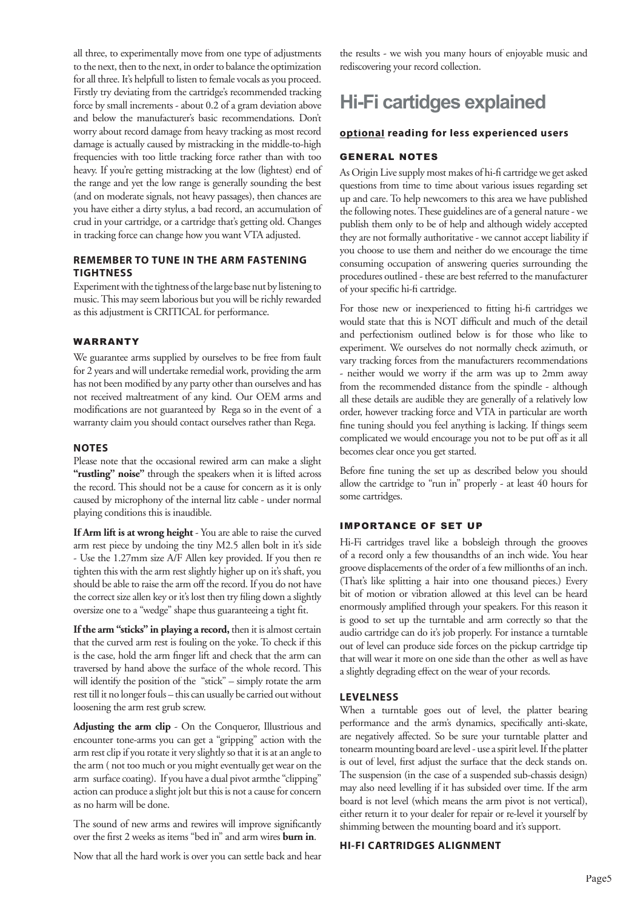all three, to experimentally move from one type of adjustments to the next, then to the next, in order to balance the optimization for all three. It's helpfull to listen to female vocals as you proceed. Firstly try deviating from the cartridge's recommended tracking force by small increments - about 0.2 of a gram deviation above and below the manufacturer's basic recommendations. Don't worry about record damage from heavy tracking as most record damage is actually caused by mistracking in the middle-to-high frequencies with too little tracking force rather than with too heavy. If you're getting mistracking at the low (lightest) end of the range and yet the low range is generally sounding the best (and on moderate signals, not heavy passages), then chances are you have either a dirty stylus, a bad record, an accumulation of crud in your cartridge, or a cartridge that's getting old. Changes in tracking force can change how you want VTA adjusted.

## **REMEMBER TO TUNE IN THE ARM FASTENING TIGHTNESS**

Experiment with the tightness of the large base nut by listening to music. This may seem laborious but you will be richly rewarded as this adjustment is CRITICAL for performance.

#### WARRANTY

We guarantee arms supplied by ourselves to be free from fault for 2 years and will undertake remedial work, providing the arm has not been modified by any party other than ourselves and has not received maltreatment of any kind. Our OEM arms and modifications are not guaranteed by Rega so in the event of a warranty claim you should contact ourselves rather than Rega.

#### **NOTES**

Please note that the occasional rewired arm can make a slight "rustling" noise" through the speakers when it is lifted across the record. This should not be a cause for concern as it is only caused by microphony of the internal litz cable - under normal playing conditions this is inaudible.

If Arm lift is at wrong height - You are able to raise the curved arm rest piece by undoing the tiny M2.5 allen bolt in it's side - Use the 1.27mm size A/F Allen key provided. If you then re tighten this with the arm rest slightly higher up on it's shaft, you should be able to raise the arm off the record. If you do not have the correct size allen key or it's lost then try filing down a slightly oversize one to a "wedge" shape thus guaranteeing a tight fit.

**If the arm "sticks" in playing a record,** then it is almost certain that the curved arm rest is fouling on the yoke. To check if this is the case, hold the arm finger lift and check that the arm can traversed by hand above the surface of the whole record. This will identify the position of the "stick" – simply rotate the arm rest till it no longer fouls – this can usually be carried out without loosening the arm rest grub screw.

**Adjusting the arm clip** - On the Conqueror, Illustrious and encounter tone-arms you can get a "gripping" action with the arm rest clip if you rotate it very slightly so that it is at an angle to the arm ( not too much or you might eventually get wear on the arm surface coating). If you have a dual pivot armthe "clipping" action can produce a slight jolt but this is not a cause for concern as no harm will be done.

The sound of new arms and rewires will improve significantly over the first 2 weeks as items "bed in" and arm wires **burn in**.

Now that all the hard work is over you can settle back and hear

the results - we wish you many hours of enjoyable music and rediscovering your record collection.

## **Hi-Fi cartidges explained**

#### **optional reading for less experienced users**

#### GENERAL NOTES

As Origin Live supply most makes of hi-fi cartridge we get asked questions from time to time about various issues regarding set up and care. To help newcomers to this area we have published the following notes. These guidelines are of a general nature - we publish them only to be of help and although widely accepted they are not formally authoritative - we cannot accept liability if you choose to use them and neither do we encourage the time consuming occupation of answering queries surrounding the procedures outlined - these are best referred to the manufacturer of your specific hi-fi cartridge.

For those new or inexperienced to fitting hi-fi cartridges we would state that this is NOT difficult and much of the detail and perfectionism outlined below is for those who like to experiment. We ourselves do not normally check azimuth, or vary tracking forces from the manufacturers recommendations - neither would we worry if the arm was up to 2mm away from the recommended distance from the spindle - although all these details are audible they are generally of a relatively low order, however tracking force and VTA in particular are worth fine tuning should you feel anything is lacking. If things seem complicated we would encourage you not to be put off as it all becomes clear once you get started.

Before fine tuning the set up as described below you should allow the cartridge to "run in" properly - at least 40 hours for some cartridges.

### IMPORTANCE OF SET UP

Hi-Fi cartridges travel like a bobsleigh through the grooves of a record only a few thousandths of an inch wide. You hear groove displacements of the order of a few millionths of an inch. (That's like splitting a hair into one thousand pieces.) Every bit of motion or vibration allowed at this level can be heard enormously amplified through your speakers. For this reason it is good to set up the turntable and arm correctly so that the audio cartridge can do it's job properly. For instance a turntable out of level can produce side forces on the pickup cartridge tip that will wear it more on one side than the other as well as have a slightly degrading effect on the wear of your records.

#### **LEVELNESS**

When a turntable goes out of level, the platter bearing performance and the arm's dynamics, specifically anti-skate, are negatively affected. So be sure your turntable platter and tonearm mounting board are level - use a spirit level. If the platter is out of level, first adjust the surface that the deck stands on. The suspension (in the case of a suspended sub-chassis design) may also need levelling if it has subsided over time. If the arm board is not level (which means the arm pivot is not vertical), either return it to your dealer for repair or re-level it yourself by shimming between the mounting board and it's support.

#### **HI-FI CARTRIDGES ALIGNMENT**